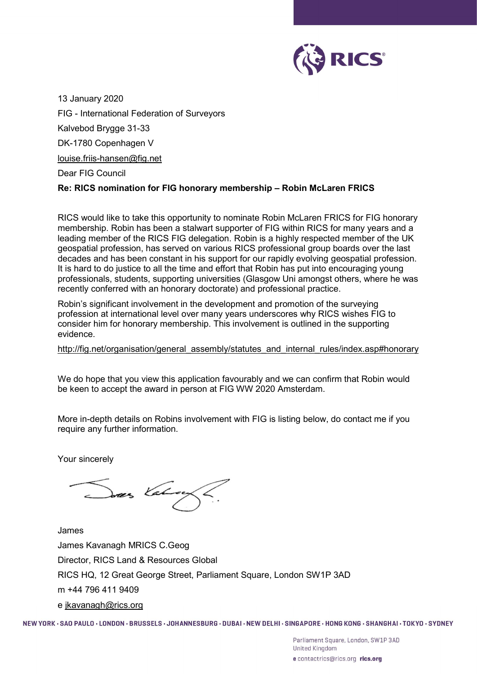

13 January 2020 FIG - International Federation of Surveyors Kalvebod Brygge 31-33 DK-1780 Copenhagen V louise.friis-hansen@fig.net

Dear FIG Council

## Re: RICS nomination for FIG honorary membership – Robin McLaren FRICS

RICS would like to take this opportunity to nominate Robin McLaren FRICS for FIG honorary membership. Robin has been a stalwart supporter of FIG within RICS for many years and a leading member of the RICS FIG delegation. Robin is a highly respected member of the UK geospatial profession, has served on various RICS professional group boards over the last decades and has been constant in his support for our rapidly evolving geospatial profession. It is hard to do justice to all the time and effort that Robin has put into encouraging young professionals, students, supporting universities (Glasgow Uni amongst others, where he was recently conferred with an honorary doctorate) and professional practice.

Robin's significant involvement in the development and promotion of the surveying profession at international level over many years underscores why RICS wishes FIG to consider him for honorary membership. This involvement is outlined in the supporting evidence.

## http://fig.net/organisation/general\_assembly/statutes\_and\_internal\_rules/index.asp#honorary

We do hope that you view this application favourably and we can confirm that Robin would be keen to accept the award in person at FIG WW 2020 Amsterdam.

More in-depth details on Robins involvement with FIG is listing below, do contact me if you require any further information.

Your sincerely

Dres Valuey

James James Kavanagh MRICS C.Geog Director, RICS Land & Resources Global RICS HQ, 12 Great George Street, Parliament Square, London SW1P 3AD m +44 796 411 9409 e jkavanagh@rics.org

NEW YORK · SAO PAULO · LONDON · BRUSSELS · JOHANNESBURG · DUBAI · NEW DELHI · SINGAPORE · HONG KONG · SHANGHAI · TOKYO · SYDNEY

Parliament Square, London, SW1P 3AD **United Kingdom** e contactrics@rics.org rics.org